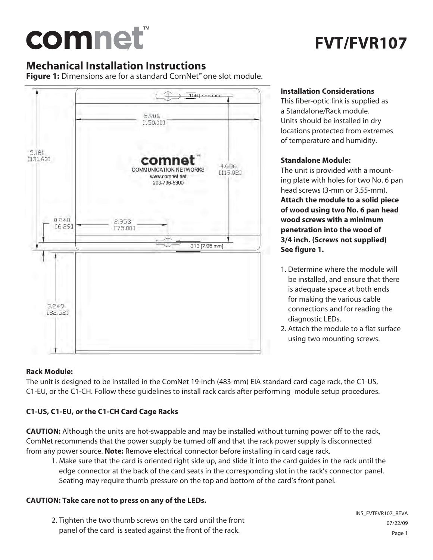# comnet

## **FVT/FVR107**

#### **Mechanical Installation Instructions**

**Figure 1:** Dimensions are for a standard ComNet™ one slot module.



#### **Installation Considerations**

This fiber-optic link is supplied as a Standalone/Rack module. Units should be installed in dry locations protected from extremes of temperature and humidity.

#### **Standalone Module:**

The unit is provided with a mounting plate with holes for two No. 6 pan head screws (3-mm or 3.55-mm). **Attach the module to a solid piece of wood using two No. 6 pan head wood screws with a minimum penetration into the wood of 3/4 inch. (Screws not supplied) See figure 1.**

- 1. Determine where the module will be installed, and ensure that there is adequate space at both ends for making the various cable connections and for reading the diagnostic LEDs.
- 2. Attach the module to a flat surface using two mounting screws.

#### **Rack Module:**

The unit is designed to be installed in the ComNet 19-inch (483-mm) EIA standard card-cage rack, the C1-US, C1-EU, or the C1-CH. Follow these guidelines to install rack cards after performing module setup procedures.

#### **C1-US, C1-EU, or the C1-CH Card Cage Racks**

**CAUTION:** Although the units are hot-swappable and may be installed without turning power off to the rack, ComNet recommends that the power supply be turned off and that the rack power supply is disconnected from any power source. **Note:** Remove electrical connector before installing in card cage rack.

 1. Make sure that the card is oriented right side up, and slide it into the card guides in the rack until the edge connector at the back of the card seats in the corresponding slot in the rack's connector panel. Seating may require thumb pressure on the top and bottom of the card's front panel.

#### **CAUTION: Take care not to press on any of the LEDs.**

 2. Tighten the two thumb screws on the card until the front panel of the card is seated against the front of the rack.

INS\_FVTFVR107\_REVA 07/22/09 Page 1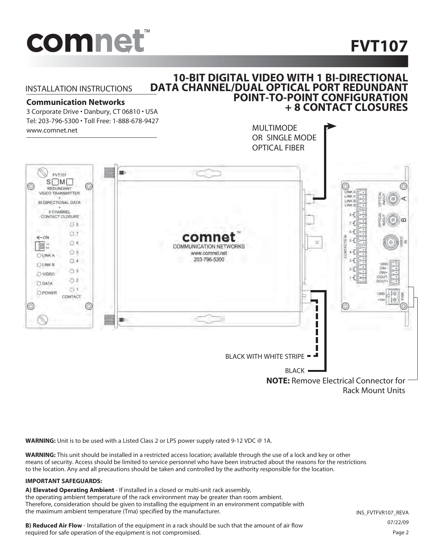

## **FVT107**

#### INSTALLATION INSTRUCTIONS

#### **10-BIT DIGITAL VIDEO WITH 1 BI-DIRECTIONAL DATA CHANNEL/DUAL OPTICAL PORT REDUNDANT POINT-TO-POINT CONFIGURATION + 8 CONTACT CLOSURES**

#### **Communication Networks**

3 Corporate Drive • Danbury, CT 06810 • USA Tel: 203-796-5300 • Toll Free: 1-888-678-9427



**WARNING:** Unit is to be used with a Listed Class 2 or LPS power supply rated 9-12 VDC @ 1A.

**WARNING:** This unit should be installed in a restricted access location; available through the use of a lock and key or other means of security. Access should be limited to service personnel who have been instructed about the reasons for the restrictions to the location. Any and all precautions should be taken and controlled by the authority responsible for the location.

#### **IMPORTANT SAFEGUARDS:**

**A) Elevated Operating Ambient** - If installed in a closed or multi-unit rack assembly, the operating ambient temperature of the rack environment may be greater than room ambient. Therefore, consideration should be given to installing the equipment in an environment compatible with the maximum ambient temperature (Tma) specified by the manufacturer.

**B) Reduced Air Flow** - Installation of the equipment in a rack should be such that the amount of air flow required for safe operation of the equipment is not compromised.

INS\_FVTFVR107\_REVA 07/22/09 Page 2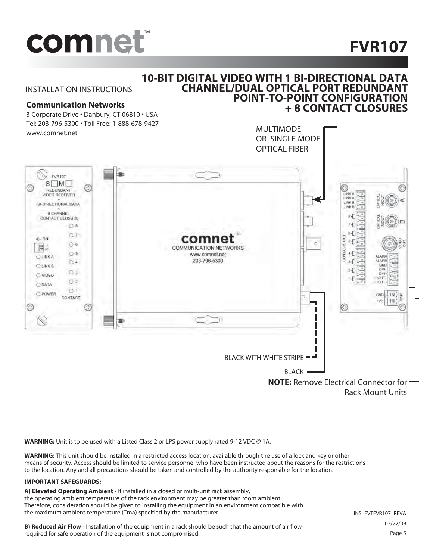

## **FVR107**

#### **10-BIT DIGITAL VIDEO WITH 1 BI-DIRECTIONAL DATA CHANNEL/DUAL OPTICAL PORT REDUNDANT POINT-TO-POINT CONFIGURATION + 8 CONTACT CLOSURES**

INSTALLATION INSTRUCTIONS

#### **Communication Networks**

3 Corporate Drive • Danbury, CT 06810 • USA Tel: 203-796-5300 • Toll Free: 1-888-678-9427 www.comnet.net



**WARNING:** Unit is to be used with a Listed Class 2 or LPS power supply rated 9-12 VDC @ 1A.

**WARNING:** This unit should be installed in a restricted access location; available through the use of a lock and key or other means of security. Access should be limited to service personnel who have been instructed about the reasons for the restrictions to the location. Any and all precautions should be taken and controlled by the authority responsible for the location.

#### **IMPORTANT SAFEGUARDS:**

**A) Elevated Operating Ambient** - If installed in a closed or multi-unit rack assembly, the operating ambient temperature of the rack environment may be greater than room ambient. Therefore, consideration should be given to installing the equipment in an environment compatible with the maximum ambient temperature (Tma) specified by the manufacturer.

**B) Reduced Air Flow** - Installation of the equipment in a rack should be such that the amount of air flow required for safe operation of the equipment is not compromised.

INS\_FVTFVR107\_REVA 07/22/09 Page 5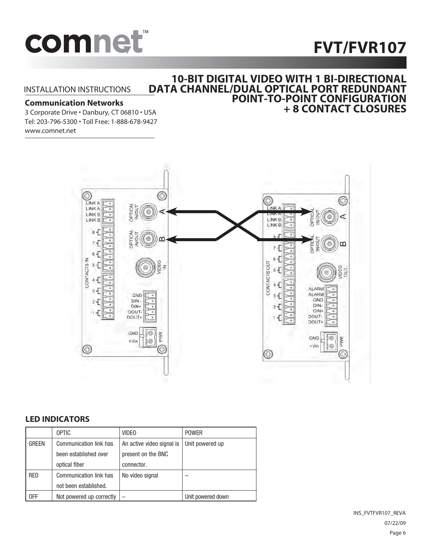## **FVT/FVR107**



#### INSTALLATION INSTRUCTIONS

#### **Communication Networks**

3 Corporate Drive • Danbury, CT 06810 • USA Tel: 203-796-5300 • Toll Free: 1-888-678-9427 www.comnet.net

#### ⊛ ☺ G  $\mathbb{G}$ LINK A **LINKA OPTICAL** LINK A NOUT C LINK<sub>B</sub> ď LINK B LINK B LINK<sub>B</sub>  $8 -$ OPTICA F  $7 +$ m  $7 -$ 6 Ŧ.  $\overline{6}$ CONTACTS IN **CONTACTS OUT**  $\overline{5}$ z  $5 -$ Бū  $\dot{A}$  $4 -$ ALARM 3 Æ **ALARM** GND  $\overline{a}$ GND **DIN** 2 E DIN- $DIN+$  $\overline{a}$ っ DIN+ DOUT-DOUT-**DOUT** DOUT-GND  $\circ$ **PWR** GND  $\circ$ PWR  $\circledcirc$  $+V$ in O  $+V$ in 6 Œ

#### **LED INDICATORS**

|              | <b>OPTIC</b>             | <b>VIDEO</b>              | <b>POWER</b>      |
|--------------|--------------------------|---------------------------|-------------------|
| <b>GREEN</b> | Communication link has   | An active video signal is | Unit powered up   |
|              | been established over    | present on the BNC        |                   |
|              | optical fiber            | connector.                |                   |
| <b>RED</b>   | Communication link has   | No video signal           |                   |
|              | not been established.    |                           |                   |
| 0FF          | Not powered up correctly |                           | Unit powered down |

INS\_FVTFVR107\_REVA 07/22/09 Page 6

#### **10-BIT DIGITAL VIDEO WITH 1 BI-DIRECTIONAL DATA CHANNEL/DUAL OPTICAL PORT REDUNDANT POINT-TO-POINT CONFIGURATION + 8 CONTACT CLOSURES**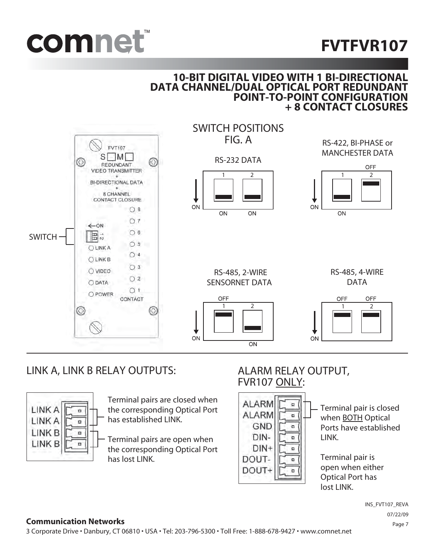



#### **10-BIT DIGITAL VIDEO WITH 1 BI-DIRECTIONAL DATA CHANNEL/DUAL OPTICAL PORT REDUNDANT POINT-TO-POINT CONFIGURATION + 8 CONTACT CLOSURES**



#### LINK A, LINK B RELAY OUTPUTS: ALARM RELAY OUTPUT,



Terminal pairs are closed when the corresponding Optical Port has established LINK.

Terminal pairs are open when the corresponding Optical Port has lost LINK.

## FVR107 ONLY:



Terminal pair is closed when BOTH Optical Ports have established LINK.

Terminal pair is open when either Optical Port has lost LINK.

> INS\_FVT107\_REVA 07/22/09 Page 7